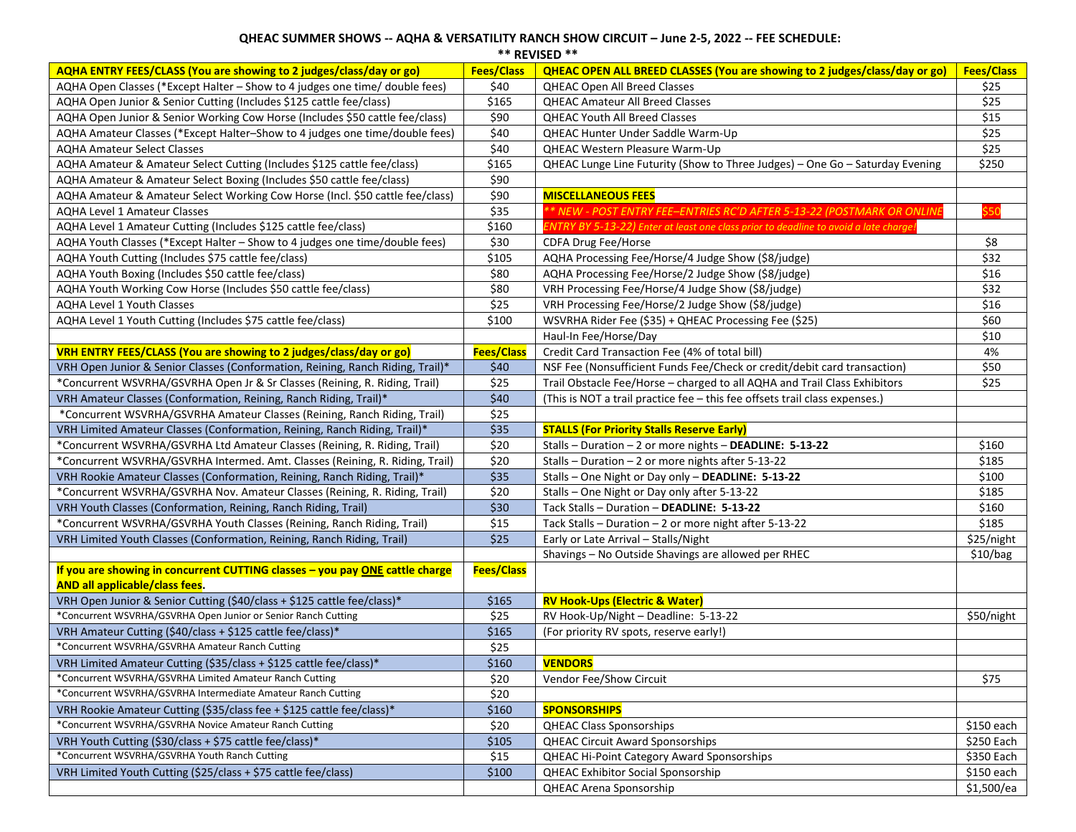## **QHEAC SUMMER SHOWS -- AQHA & VERSATILITY RANCH SHOW CIRCUIT – June 2-5, 2022 -- FEE SCHEDULE: \*\* REVISED \*\***

| AQHA ENTRY FEES/CLASS (You are showing to 2 judges/class/day or go)                                            | <b>Fees/Class</b> | <b>QHEAC OPEN ALL BREED CLASSES (You are showing to 2 judges/class/day or go)</b>    | <b>Fees/Class</b> |
|----------------------------------------------------------------------------------------------------------------|-------------------|--------------------------------------------------------------------------------------|-------------------|
| AQHA Open Classes (*Except Halter - Show to 4 judges one time/ double fees)                                    | \$40              | QHEAC Open All Breed Classes                                                         | \$25              |
| AQHA Open Junior & Senior Cutting (Includes \$125 cattle fee/class)                                            | \$165             | <b>QHEAC Amateur All Breed Classes</b>                                               | \$25              |
| AQHA Open Junior & Senior Working Cow Horse (Includes \$50 cattle fee/class)                                   | \$90              | <b>QHEAC Youth All Breed Classes</b>                                                 | \$15              |
| AQHA Amateur Classes (*Except Halter-Show to 4 judges one time/double fees)                                    | \$40              | QHEAC Hunter Under Saddle Warm-Up                                                    | \$25              |
| <b>AQHA Amateur Select Classes</b>                                                                             | \$40              | QHEAC Western Pleasure Warm-Up                                                       | \$25              |
| AQHA Amateur & Amateur Select Cutting (Includes \$125 cattle fee/class)                                        | \$165             | QHEAC Lunge Line Futurity (Show to Three Judges) - One Go - Saturday Evening         | \$250             |
| AQHA Amateur & Amateur Select Boxing (Includes \$50 cattle fee/class)                                          | \$90              |                                                                                      |                   |
| AQHA Amateur & Amateur Select Working Cow Horse (Incl. \$50 cattle fee/class)                                  | \$90              | <b>MISCELLANEOUS FEES</b>                                                            |                   |
| <b>AQHA Level 1 Amateur Classes</b>                                                                            | \$35              | ** NEW - POST ENTRY FEE-ENTRIES RC'D AFTER 5-13-22 (POSTMARK OR ONLINE               |                   |
| AQHA Level 1 Amateur Cutting (Includes \$125 cattle fee/class)                                                 | \$160             | ENTRY BY 5-13-22) Enter at least one class prior to deadline to avoid a late charge! |                   |
| AQHA Youth Classes (*Except Halter - Show to 4 judges one time/double fees)                                    | \$30              | CDFA Drug Fee/Horse                                                                  | \$8               |
| AQHA Youth Cutting (Includes \$75 cattle fee/class)                                                            | \$105             | AQHA Processing Fee/Horse/4 Judge Show (\$8/judge)                                   | \$32              |
| AQHA Youth Boxing (Includes \$50 cattle fee/class)                                                             | \$80              | AQHA Processing Fee/Horse/2 Judge Show (\$8/judge)                                   | \$16              |
| AQHA Youth Working Cow Horse (Includes \$50 cattle fee/class)                                                  | \$80              | VRH Processing Fee/Horse/4 Judge Show (\$8/judge)                                    | \$32              |
| AQHA Level 1 Youth Classes                                                                                     | \$25              | VRH Processing Fee/Horse/2 Judge Show (\$8/judge)                                    | \$16              |
| AQHA Level 1 Youth Cutting (Includes \$75 cattle fee/class)                                                    | \$100             | WSVRHA Rider Fee (\$35) + QHEAC Processing Fee (\$25)                                | \$60              |
|                                                                                                                |                   | Haul-In Fee/Horse/Day                                                                | \$10              |
| VRH ENTRY FEES/CLASS (You are showing to 2 judges/class/day or go)                                             | Fees/Class        | Credit Card Transaction Fee (4% of total bill)                                       | 4%                |
| VRH Open Junior & Senior Classes (Conformation, Reining, Ranch Riding, Trail)*                                 | \$40              | NSF Fee (Nonsufficient Funds Fee/Check or credit/debit card transaction)             | \$50              |
| *Concurrent WSVRHA/GSVRHA Open Jr & Sr Classes (Reining, R. Riding, Trail)                                     | \$25              | Trail Obstacle Fee/Horse - charged to all AQHA and Trail Class Exhibitors            | \$25              |
| VRH Amateur Classes (Conformation, Reining, Ranch Riding, Trail)*                                              | \$40              | (This is NOT a trail practice fee - this fee offsets trail class expenses.)          |                   |
| *Concurrent WSVRHA/GSVRHA Amateur Classes (Reining, Ranch Riding, Trail)                                       | \$25              |                                                                                      |                   |
| VRH Limited Amateur Classes (Conformation, Reining, Ranch Riding, Trail)*                                      | \$35              | <b>STALLS (For Priority Stalls Reserve Early)</b>                                    |                   |
| *Concurrent WSVRHA/GSVRHA Ltd Amateur Classes (Reining, R. Riding, Trail)                                      | \$20              | Stalls - Duration - 2 or more nights - DEADLINE: 5-13-22                             | \$160             |
| *Concurrent WSVRHA/GSVRHA Intermed. Amt. Classes (Reining, R. Riding, Trail)                                   | \$20              | Stalls – Duration – 2 or more nights after 5-13-22                                   | \$185             |
| VRH Rookie Amateur Classes (Conformation, Reining, Ranch Riding, Trail)*                                       | \$35              | Stalls - One Night or Day only - DEADLINE: 5-13-22                                   | \$100             |
| *Concurrent WSVRHA/GSVRHA Nov. Amateur Classes (Reining, R. Riding, Trail)                                     | \$20              | Stalls - One Night or Day only after 5-13-22                                         | \$185             |
| VRH Youth Classes (Conformation, Reining, Ranch Riding, Trail)                                                 | \$30              | Tack Stalls - Duration - DEADLINE: 5-13-22                                           | \$160             |
| *Concurrent WSVRHA/GSVRHA Youth Classes (Reining, Ranch Riding, Trail)                                         | \$15              | Tack Stalls - Duration - 2 or more night after 5-13-22                               | \$185             |
| VRH Limited Youth Classes (Conformation, Reining, Ranch Riding, Trail)                                         | \$25              | Early or Late Arrival - Stalls/Night                                                 | \$25/night        |
|                                                                                                                |                   | Shavings - No Outside Shavings are allowed per RHEC                                  | \$10/bag          |
| If you are showing in concurrent CUTTING classes - you pay ONE cattle charge<br>AND all applicable/class fees. | Fees/Class        |                                                                                      |                   |
| VRH Open Junior & Senior Cutting (\$40/class + \$125 cattle fee/class)*                                        | \$165             | <b>RV Hook-Ups (Electric &amp; Water)</b>                                            |                   |
| *Concurrent WSVRHA/GSVRHA Open Junior or Senior Ranch Cutting                                                  | \$25              | RV Hook-Up/Night - Deadline: 5-13-22                                                 | \$50/night        |
| VRH Amateur Cutting (\$40/class + \$125 cattle fee/class)*                                                     | \$165             | (For priority RV spots, reserve early!)                                              |                   |
| *Concurrent WSVRHA/GSVRHA Amateur Ranch Cutting                                                                | \$25              |                                                                                      |                   |
| VRH Limited Amateur Cutting (\$35/class + \$125 cattle fee/class)*                                             | \$160             | <b>VENDORS</b>                                                                       |                   |
| *Concurrent WSVRHA/GSVRHA Limited Amateur Ranch Cutting                                                        | \$20              | Vendor Fee/Show Circuit                                                              | \$75              |
| *Concurrent WSVRHA/GSVRHA Intermediate Amateur Ranch Cutting                                                   | \$20              |                                                                                      |                   |
| VRH Rookie Amateur Cutting (\$35/class fee + \$125 cattle fee/class)*                                          | \$160             | <b>SPONSORSHIPS</b>                                                                  |                   |
| *Concurrent WSVRHA/GSVRHA Novice Amateur Ranch Cutting                                                         | \$20              | <b>QHEAC Class Sponsorships</b>                                                      | \$150 each        |
| VRH Youth Cutting (\$30/class + \$75 cattle fee/class)*                                                        | \$105             | <b>QHEAC Circuit Award Sponsorships</b>                                              | \$250 Each        |
| *Concurrent WSVRHA/GSVRHA Youth Ranch Cutting                                                                  | \$15              | <b>QHEAC Hi-Point Category Award Sponsorships</b>                                    | \$350 Each        |
| VRH Limited Youth Cutting (\$25/class + \$75 cattle fee/class)                                                 | \$100             | <b>QHEAC Exhibitor Social Sponsorship</b>                                            | \$150 each        |
|                                                                                                                |                   | QHEAC Arena Sponsorship                                                              | \$1,500/ea        |